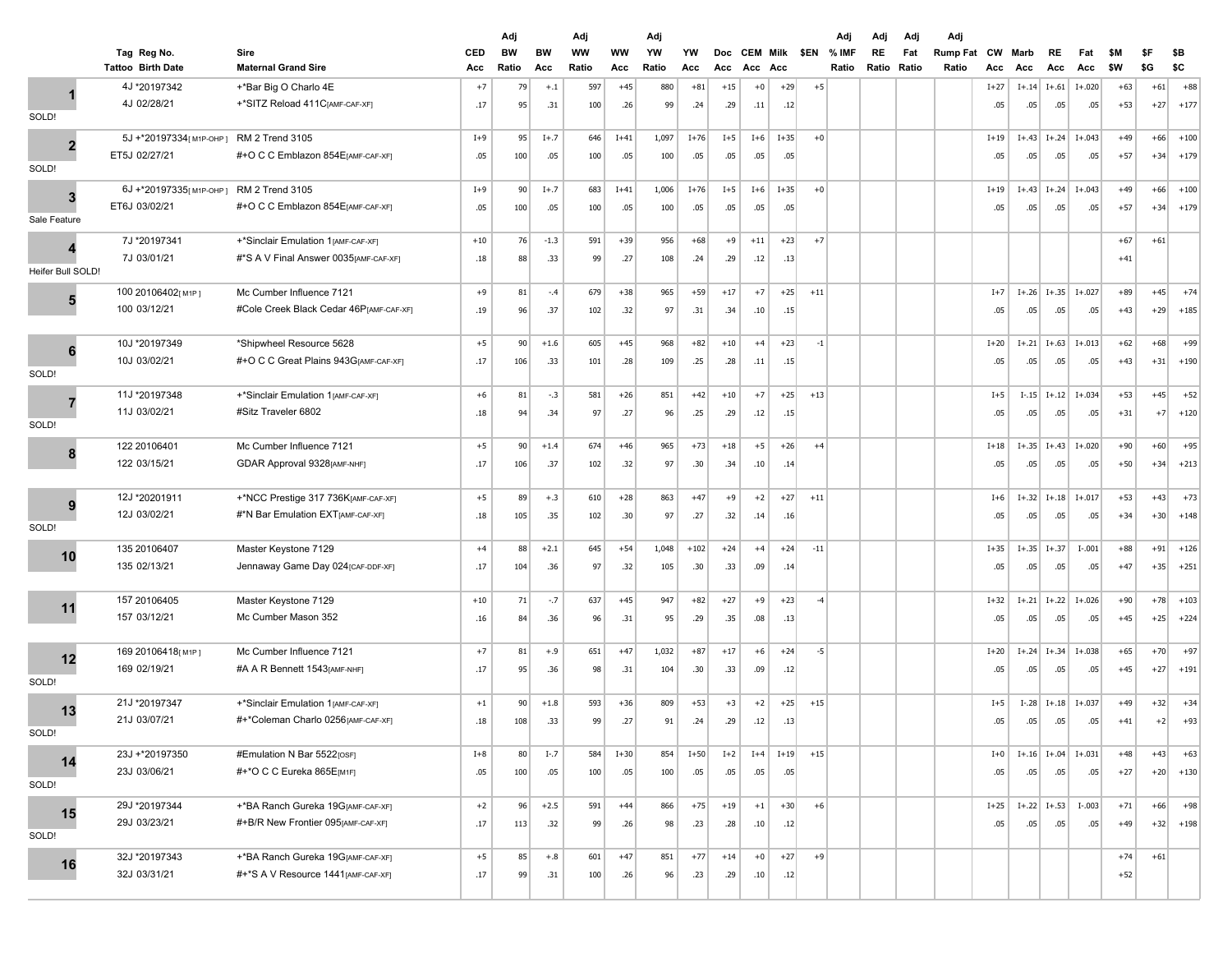|                   |                                         |                                         |                   | Adj         |                  | Adj         |           | Adj         |           |                   |                        |        |       | Adj            | Adj         | Adj          | Adj                      |           |             |                              |            |            |            |            |
|-------------------|-----------------------------------------|-----------------------------------------|-------------------|-------------|------------------|-------------|-----------|-------------|-----------|-------------------|------------------------|--------|-------|----------------|-------------|--------------|--------------------------|-----------|-------------|------------------------------|------------|------------|------------|------------|
|                   | Tag Reg No.<br><b>Tattoo Birth Date</b> | Sire<br><b>Maternal Grand Sire</b>      | <b>CED</b><br>Acc | BW<br>Ratio | <b>BW</b><br>Acc | WW<br>Ratio | ww<br>Acc | YW<br>Ratio | YW<br>Acc | <b>Doc</b><br>Acc | <b>CEM Milk</b><br>Acc | Acc    | \$EN  | % IMF<br>Ratio | RE<br>Ratio | Fat<br>Ratio | <b>Rump Fat</b><br>Ratio | CW<br>Acc | Marb<br>Acc | RE<br>Acc                    | Fat<br>Acc | \$M<br>\$W | \$F<br>\$G | \$Β<br>\$C |
|                   | 4J *20197342                            | +*Bar Big O Charlo 4E                   | $+7$              | 79          | $+.1$            | 597         | $+45$     | 880         | $+81$     | $+15$             | $+0$                   | $+29$  | $+5$  |                |             |              |                          | $I+27$    | $I+.14$     | $I + .61$                    | $I + .020$ | $+63$      | $+61$      | $+88$      |
|                   | 4J 02/28/21                             | +*SITZ Reload 411C[AMF-CAF-XF]          | .17               | 95          | .31              | 100         | .26       | 99          | .24       | .29               | .11                    | .12    |       |                |             |              |                          | .05       | .05         | .05                          | .05        | $+53$      | $+27$      | $+177$     |
| SOLD!             |                                         |                                         |                   |             |                  |             |           |             |           |                   |                        |        |       |                |             |              |                          |           |             |                              |            |            |            |            |
|                   | 5J +*20197334[M1P-OHP]                  | RM 2 Trend 3105                         | $I+9$             | 95          | $I+.7$           | 646         | $I+41$    | 1,097       | $I+76$    | $I+5$             | $I+6$                  | $I+35$ | $+0$  |                |             |              |                          | $I+19$    | $I+.43$     | $I + .24$                    | $I+.043$   | $+49$      | $+66$      | $+100$     |
| $\overline{2}$    | ET5J 02/27/21                           | #+O C C Emblazon 854 E[AMF-CAF-XF]      | .05               | 100         | .05              | 100         | .05       | 100         | .05       | .05               | .05                    | .05    |       |                |             |              |                          | .05       | .05         | .05                          | .05        | $+57$      | $+34$      | $+179$     |
| SOLD!             |                                         |                                         |                   |             |                  |             |           |             |           |                   |                        |        |       |                |             |              |                          |           |             |                              |            |            |            |            |
| 3                 | 6J +*20197335[M1P-OHP]                  | RM 2 Trend 3105                         | $I+9$             | 90          | $I+.7$           | 683         | $I+41$    | 1,006       | $I+76$    | $I+5$             | $I+6$                  | $I+35$ | $+0$  |                |             |              |                          | $I+19$    | $I + .43$   | $I + .24$                    | $I+.043$   | $+49$      | $+66$      | $+100$     |
|                   | ET6J 03/02/21                           | #+O C C Emblazon 854 E[AMF-CAF-XF]      | .05               | 100         | .05              | 100         | .05       | 100         | .05       | .05               | .05                    | .05    |       |                |             |              |                          | .05       | .05         | .05                          | .05        | $+57$      | $+34$      | $+179$     |
| Sale Feature      |                                         |                                         |                   |             |                  |             |           |             |           |                   |                        |        |       |                |             |              |                          |           |             |                              |            |            |            |            |
|                   | 7J *20197341                            | +*Sinclair Emulation 1 [AMF-CAF-XF]     | $+10$             | 76          | $-1.3$           | 591         | $+39$     | 956         | $+68$     | $+9$              | $+11$                  | $+23$  | $+7$  |                |             |              |                          |           |             |                              |            | $+67$      | $+61$      |            |
|                   | 7J 03/01/21                             | #*S A V Final Answer 0035[AMF-CAF-XF]   | .18               | 88          | .33              | 99          | .27       | 108         | .24       | .29               | .12                    | .13    |       |                |             |              |                          |           |             |                              |            | $+41$      |            |            |
| Heifer Bull SOLD! |                                         |                                         |                   |             |                  |             |           |             |           |                   |                        |        |       |                |             |              |                          |           |             |                              |            |            |            |            |
| 5                 | 100 20106402[M1P]                       | Mc Cumber Influence 7121                | $+9$              | 81          | $-.4$            | 679         | $+38$     | 965         | $+59$     | $+17$             | $+7$                   | $+25$  | $+11$ |                |             |              |                          | $I+7$     | $I+.26$     | $I+.35$                      | $I+.027$   | $+89$      | $+45$      | $+74$      |
|                   | 100 03/12/21                            | #Cole Creek Black Cedar 46P[AMF-CAF-XF] | .19               | 96          | .37              | 102         | .32       | 97          | .31       | .34               | .10                    | .15    |       |                |             |              |                          | .05       | .05         | .05                          | .05        | $+43$      | $+29$      | $+185$     |
|                   | 10J *20197349                           | *Shipwheel Resource 5628                | $+5$              | 90          | $+1.6$           | 605         | $+45$     | 968         | $+82$     | $+10$             | $+4$                   | $+23$  | $-1$  |                |             |              |                          | $I+20$    |             | $I+.21$ $I+.63$              | $I+.013$   | $+62$      | $+68$      | $+99$      |
| 6                 | 10J 03/02/21                            | #+O C C Great Plains 943G[AMF-CAF-XF]   | .17               | 106         | .33              | 101         | .28       | 109         | .25       | .28               | .11                    | .15    |       |                |             |              |                          | .05       | .05         | .05                          | .05        | $+43$      | $+31$      | $+190$     |
| SOLD!             |                                         |                                         |                   |             |                  |             |           |             |           |                   |                        |        |       |                |             |              |                          |           |             |                              |            |            |            |            |
|                   | 11J *20197348                           | +*Sinclair Emulation 1[AMF-CAF-XF]      | $+6$              | 81          | $-.3$            | 581         | $+26$     | 851         | $+42$     | $+10$             | $+7$                   | $+25$  | $+13$ |                |             |              |                          | $I+5$     | $I-.15$     | $I+.12$                      | $I+.034$   | $+53$      | $+45$      | $+52$      |
|                   | 11J 03/02/21                            | #Sitz Traveler 6802                     | .18               | 94          | .34              | 97          | .27       | 96          | .25       | .29               | .12                    | .15    |       |                |             |              |                          | .05       | .05         | .05                          | .05        | $+31$      | $+7$       | $+120$     |
| SOLD!             |                                         |                                         |                   |             |                  |             |           |             |           |                   |                        |        |       |                |             |              |                          |           |             |                              |            |            |            |            |
| 8                 | 122 20106401                            | Mc Cumber Influence 7121                | $+5$              | 90          | $+1.4$           | 674         | $+46$     | 965         | $+73$     | $+18$             | $+5$                   | $+26$  | $+4$  |                |             |              |                          | $I+18$    | $I+.35$     | $I + .43$                    | $I + .020$ | $+90$      | $+60$      | $+95$      |
|                   | 122 03/15/21                            | GDAR Approval 9328 [AMF-NHF]            | .17               | 106         | .37              | 102         | .32       | 97          | .30       | .34               | .10                    | .14    |       |                |             |              |                          | .05       | .05         | .05                          | .05        | $+50$      | $+34$      | $+213$     |
|                   |                                         |                                         |                   |             |                  |             |           |             |           |                   |                        |        |       |                |             |              |                          |           |             |                              |            |            |            |            |
| 9                 | 12J *20201911                           | +*NCC Prestige 317 736K[AMF-CAF-XF]     | $+5$              | 89          | $+.3$            | 610         | $+28$     | 863         | $+47$     | $+9$              | $+2$                   | $+27$  | $+11$ |                |             |              |                          | $I+6$     | $I+.32$     | $I+.18$                      | $I+.017$   | $+53$      | $+43$      | $+73$      |
|                   | 12J 03/02/21                            | #*N Bar Emulation EXT[AMF-CAF-XF]       | .18               | 105         | .35              | 102         | .30       | 97          | .27       | .32               | .14                    | .16    |       |                |             |              |                          | .05       | .05         | .05                          | .05        | $+34$      | $+30$      | $+148$     |
| SOLD!             |                                         |                                         |                   |             |                  |             |           |             |           |                   |                        |        |       |                |             |              |                          |           |             |                              |            |            |            |            |
| 10                | 135 20106407                            | Master Keystone 7129                    | $+4$              | 88          | $+2.1$           | 645         | $+54$     | 1,048       | $+102$    | $+24$             | $+4$                   | $+24$  | $-11$ |                |             |              |                          | $I + 35$  | $I+.35$     | $I+.37$                      | $I-.001$   | $+88$      | $+91$      | $+126$     |
|                   | 135 02/13/21                            | Jennaway Game Day 024 [CAF-DDF-XF]      | .17               | 104         | .36              | 97          | .32       | 105         | .30       | .33               | .09                    | .14    |       |                |             |              |                          | .05       | .05         | .05                          | .05        | $+47$      | $+35$      | $+251$     |
|                   | 157 20106405                            | Master Keystone 7129                    | $+10$             | 71          | $-7$             | 637         | $+45$     | 947         | $+82$     | $+27$             | $+9$                   | $+23$  | $-4$  |                |             |              |                          | $I + 32$  |             | $I+.21$ $I+.22$              | $I+.026$   | $+90$      | $+78$      | $+103$     |
| 11                | 157 03/12/21                            | Mc Cumber Mason 352                     | .16               | 84          | .36              | 96          | .31       | 95          | .29       | .35               | .08                    | .13    |       |                |             |              |                          | .05       | .05         | .05                          | .05        | $+45$      | $+25$      | $+224$     |
|                   |                                         |                                         |                   |             |                  |             |           |             |           |                   |                        |        |       |                |             |              |                          |           |             |                              |            |            |            |            |
|                   | 169 20106418[M1P]                       | Mc Cumber Influence 7121                | $+7$              | 81          | $+.9$            | 651         | $+47$     | 1,032       | $+87$     | $+17$             | $+6$                   | $+24$  | $-5$  |                |             |              |                          | $I+20$    | $I+.24$     | $I + .34$                    | $I+.038$   | $+65$      | $+70$      | $+97$      |
| 12                | 169 02/19/21                            | #A A R Bennett 1543 [AMF-NHF]           | .17               | 95          | .36              | 98          | .31       | 104         | .30       | .33               | .09                    | .12    |       |                |             |              |                          | .05       | .05         | .05                          | .05        | $+45$      | $+27$      | $+191$     |
| SOLD!             |                                         |                                         |                   |             |                  |             |           |             |           |                   |                        |        |       |                |             |              |                          |           |             |                              |            |            |            |            |
| 13                | 21J *20197347                           | +*Sinclair Emulation 1 [AMF-CAF-XF]     | $+1$              | 90          | $+1.8$           | 593         | $+36$     | 809         | $+53$     | $+3$              | $+2$                   | $+25$  | $+15$ |                |             |              |                          | $I+5$     | $I-.28$     | $I+.18$                      | $I+.037$   | $+49$      | $+32$      | $+34$      |
|                   | 21J 03/07/21                            | #+*Coleman Charlo 0256[AMF-CAF-XF]      | .18               | 108         | .33              | 99          | .27       | 91          | .24       | .29               | .12                    | .13    |       |                |             |              |                          | .05       | .05         | .05                          | .05        | $+41$      | $+2$       | $+93$      |
| SOLD!             |                                         |                                         |                   |             |                  |             |           |             |           |                   |                        |        |       |                |             |              |                          |           |             |                              |            |            |            |            |
| 14                | 23J +*20197350                          | #Emulation N Bar 5522[OSF]              | $I+8$             | 80          | $I-.7$           | 584         | $I+30$    | 854         | $I+50$    | $I+2$             | $I+4$                  | $I+19$ | $+15$ |                |             |              |                          | $I+0$     |             | $I+.16$   $I+.04$   $I+.031$ |            | $+48$      | $+43$      | $+63$      |
| SOLD!             | 23J 03/06/21                            | #+*O C C Eureka 865E[M1F]               | .05               | 100         | .05              | 100         | .05       | 100         | .05       | .05               | .05                    | .05    |       |                |             |              |                          | .05       | .05         | .05                          | .05        | $+27$      | $+20$      | $+130$     |
|                   |                                         |                                         |                   |             |                  |             |           |             |           |                   |                        |        |       |                |             |              |                          |           |             |                              |            |            |            |            |
| 15                | 29J *20197344                           | +*BA Ranch Gureka 19G[AMF-CAF-XF]       | $+2$              | 96          | $+2.5$           | 591         | $+44$     | 866         | $+75$     | $+19$             | $+1$                   | $+30$  | $+6$  |                |             |              |                          | $I+25$    |             | $I+.22$ $I+.53$              | $I-.003$   | $+71$      | $+66$      | $+98$      |
| SOLD!             | 29J 03/23/21                            | #+B/R New Frontier 095[AMF-CAF-XF]      | .17               | 113         | .32              | 99          | .26       | 98          | .23       | .28               | .10                    | .12    |       |                |             |              |                          | .05       | .05         | .05                          | .05        | $+49$      | $+32$      | $+198$     |
|                   | 32J *20197343                           | +*BA Ranch Gureka 19G[AMF-CAF-XF]       | $+5$              | 85          | $+.8$            | 601         | $+47$     | 851         | $+77$     | $+14$             | $+0$                   | $+27$  | $+9$  |                |             |              |                          |           |             |                              |            | $+74$      | $+61$      |            |
| 16                | 32J 03/31/21                            | #+*S A V Resource 1441 [AMF-CAF-XF]     | .17               | 99          | .31              | 100         | .26       | 96          | .23       | .29               | .10                    | .12    |       |                |             |              |                          |           |             |                              |            | $+52$      |            |            |
|                   |                                         |                                         |                   |             |                  |             |           |             |           |                   |                        |        |       |                |             |              |                          |           |             |                              |            |            |            |            |
|                   |                                         |                                         |                   |             |                  |             |           |             |           |                   |                        |        |       |                |             |              |                          |           |             |                              |            |            |            |            |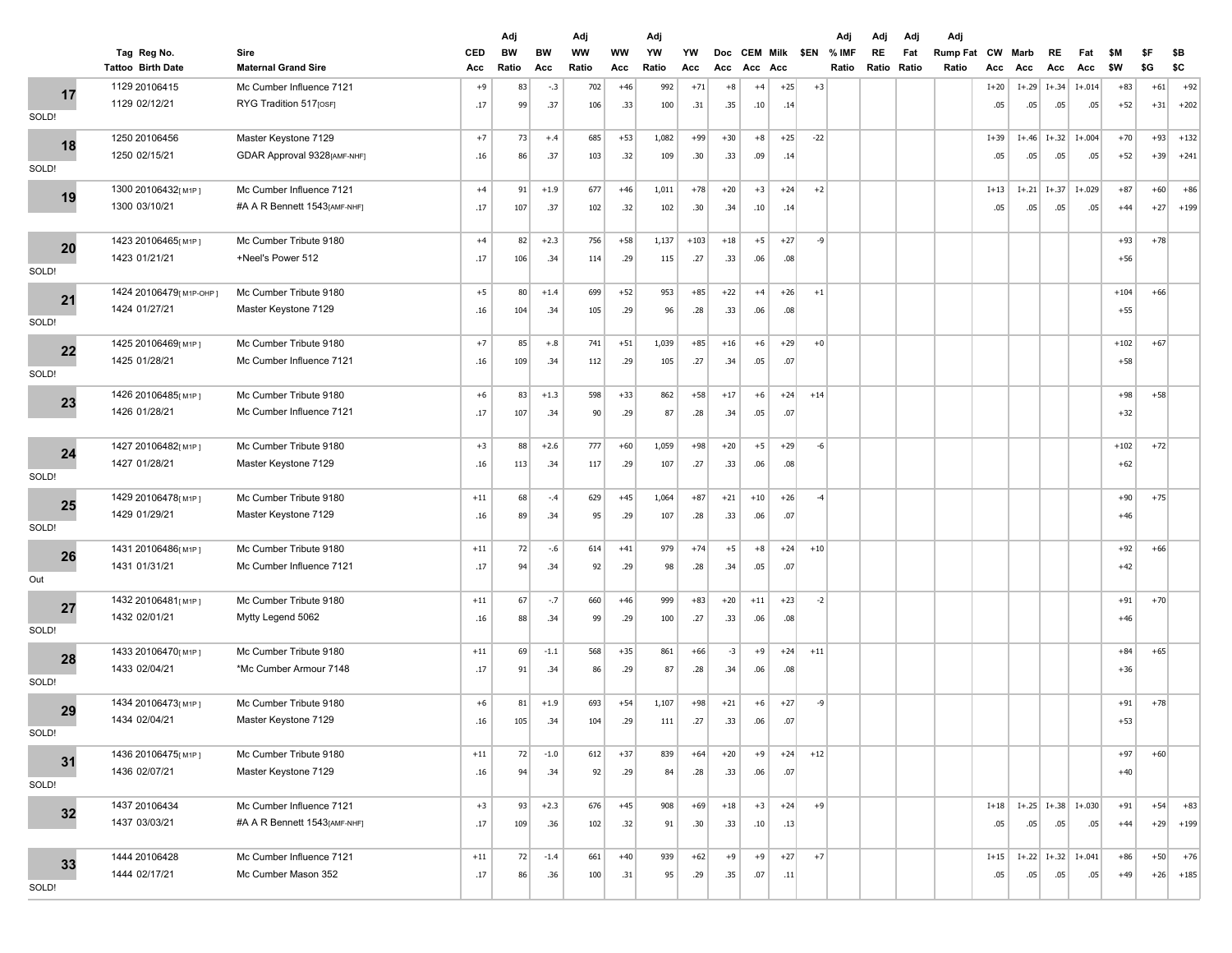|       |                                         |                                    |            | Adj         |           | Adj                |                  | Adj         |           |                   |                            |       |       | Adj                 | Adj               | Adj | Adj                      |           |             |                          |                  |            |            |            |
|-------|-----------------------------------------|------------------------------------|------------|-------------|-----------|--------------------|------------------|-------------|-----------|-------------------|----------------------------|-------|-------|---------------------|-------------------|-----|--------------------------|-----------|-------------|--------------------------|------------------|------------|------------|------------|
|       | Tag Reg No.<br><b>Tattoo Birth Date</b> | Sire<br><b>Maternal Grand Sire</b> | CED<br>Acc | BW<br>Ratio | BW<br>Acc | <b>WW</b><br>Ratio | <b>WW</b><br>Acc | YW<br>Ratio | YW<br>Acc | <b>Doc</b><br>Acc | <b>CEM Milk</b><br>Acc Acc |       |       | \$EN % IMF<br>Ratio | RE<br>Ratio Ratio | Fat | <b>Rump Fat</b><br>Ratio | CW<br>Acc | Marb<br>Acc | RE<br>Acc                | Fat<br>Acc       | \$M<br>\$W | \$F<br>\$G | \$В<br>\$C |
| 17    | 1129 20106415                           | Mc Cumber Influence 7121           | $+9$       | 83          | $-.3$     | 702                | $+46$            | 992         | $+71$     | $+8$              | $+4$                       | $+25$ | $+3$  |                     |                   |     |                          | $I+20$    | $I+.29$     | $I+.34$                  | $I + .014$       | $+83$      | $+61$      | $+92$      |
|       | 1129 02/12/21                           | RYG Tradition 517[OSF]             | .17        | 99          | .37       | 106                | .33              | 100         | .31       | .35               | .10                        | .14   |       |                     |                   |     |                          | .05       | .05         | .05                      | .05              | $+52$      | $+31$      | $+202$     |
| SOLD! |                                         |                                    |            |             |           |                    |                  |             |           |                   |                            |       |       |                     |                   |     |                          |           |             |                          |                  |            |            |            |
| 18    | 1250 20106456                           | Master Keystone 7129               | $+7$       | 73          | $+.4$     | 685                | $+53$            | 1,082       | $+99$     | $+30$             | $+8$                       | $+25$ | $-22$ |                     |                   |     |                          | $I+39$    | $I + .46$   |                          | $I+.32$ $I+.004$ | $+70$      | $+93$      | $+132$     |
|       | 1250 02/15/21                           | GDAR Approval 9328[AMF-NHF]        | .16        | 86          | .37       | 103                | .32              | 109         | .30       | .33               | .09                        | .14   |       |                     |                   |     |                          | .05       | .05         | .05                      | .05              | $+52$      | $+39$      | $+241$     |
| SOLD! |                                         |                                    |            |             |           |                    |                  |             |           |                   |                            |       |       |                     |                   |     |                          |           |             |                          |                  |            |            |            |
| 19    | 1300 20106432[M1P]                      | Mc Cumber Influence 7121           | $+4$       | 91          | $+1.9$    | 677                | $+46$            | 1,011       | $+78$     | $+20$             | $+3$                       | $+24$ | $+2$  |                     |                   |     |                          | $I+13$    | $I+.21$     | $I+.37$                  | $I+.029$         | $+87$      | $+60$      | $+86$      |
|       | 1300 03/10/21                           | #A A R Bennett 1543[AMF-NHF]       | .17        | 107         | .37       | 102                | .32              | 102         | .30       | .34               | .10                        | .14   |       |                     |                   |     |                          | .05       | .05         | .05                      | .05              | $+44$      | $+27$      | $+199$     |
| 20    | 1423 20106465[M1P]                      | Mc Cumber Tribute 9180             | $+4$       | 82          | $+2.3$    | 756                | $+58$            | 1,137       | $+103$    | $+18$             | $+5$                       | $+27$ | $-9$  |                     |                   |     |                          |           |             |                          |                  | $+93$      | $+78$      |            |
|       | 1423 01/21/21                           | +Neel's Power 512                  | .17        | 106         | .34       | 114                | .29              | 115         | .27       | .33               | .06                        | .08   |       |                     |                   |     |                          |           |             |                          |                  | $+56$      |            |            |
| SOLD! |                                         |                                    |            |             |           |                    |                  |             |           |                   |                            |       |       |                     |                   |     |                          |           |             |                          |                  |            |            |            |
| 21    | 1424 20106479[ м1Р-ОНР]                 | Mc Cumber Tribute 9180             | $+5$       | 80          | $+1.4$    | 699                | $+52$            | 953         | $+85$     | $+22$             | $+4$                       | $+26$ | $+1$  |                     |                   |     |                          |           |             |                          |                  | $+104$     | $+66$      |            |
|       | 1424 01/27/21                           | Master Keystone 7129               | .16        | 104         | .34       | 105                | .29              | 96          | .28       | .33               | .06                        | .08   |       |                     |                   |     |                          |           |             |                          |                  | $+55$      |            |            |
| SOLD! |                                         |                                    |            |             |           |                    |                  |             |           |                   |                            |       |       |                     |                   |     |                          |           |             |                          |                  |            |            |            |
| 22    | 1425 20106469[M1P]                      | Mc Cumber Tribute 9180             | $+7$       | 85          | $+.8$     | 741                | $+51$            | 1,039       | $+85$     | $+16$             | $+6$                       | $+29$ | $+0$  |                     |                   |     |                          |           |             |                          |                  | $+102$     | $+67$      |            |
| SOLD! | 1425 01/28/21                           | Mc Cumber Influence 7121           | .16        | 109         | .34       | 112                | .29              | 105         | .27       | .34               | .05                        | .07   |       |                     |                   |     |                          |           |             |                          |                  | $+58$      |            |            |
|       |                                         |                                    |            |             |           |                    |                  |             |           |                   |                            |       |       |                     |                   |     |                          |           |             |                          |                  |            |            |            |
| 23    | 1426 20106485[M1P]                      | Mc Cumber Tribute 9180             | $+6$       | 83          | $+1.3$    | 598                | $+33$            | 862         | $+58$     | $+17$             | $+6$                       | $+24$ | $+14$ |                     |                   |     |                          |           |             |                          |                  | $+98$      | $+58$      |            |
|       | 1426 01/28/21                           | Mc Cumber Influence 7121           | .17        | 107         | .34       | 90                 | .29              | 87          | .28       | .34               | .05                        | .07   |       |                     |                   |     |                          |           |             |                          |                  | $+32$      |            |            |
|       | 1427 20106482[M1P]                      | Mc Cumber Tribute 9180             | $+3$       | 88          | $+2.6$    | 777                | $+60$            | 1,059       | $+98$     | $+20$             | $+5$                       | $+29$ | $-6$  |                     |                   |     |                          |           |             |                          |                  | $+102$     | $+72$      |            |
| 24    | 1427 01/28/21                           | Master Keystone 7129               | .16        | 113         | .34       | 117                | .29              | 107         | .27       | .33               | .06                        | .08   |       |                     |                   |     |                          |           |             |                          |                  | $+62$      |            |            |
| SOLD! |                                         |                                    |            |             |           |                    |                  |             |           |                   |                            |       |       |                     |                   |     |                          |           |             |                          |                  |            |            |            |
|       | 1429 20106478[M1P]                      | Mc Cumber Tribute 9180             | $+11$      | 68          | $-.4$     | 629                | $+45$            | 1,064       | $+87$     | $+21$             | $+10$                      | $+26$ | $-4$  |                     |                   |     |                          |           |             |                          |                  | $+90$      | $+75$      |            |
| 25    | 1429 01/29/21                           | Master Keystone 7129               | .16        | 89          | .34       | 95                 | .29              | 107         | .28       | .33               | .06                        | .07   |       |                     |                   |     |                          |           |             |                          |                  | $+46$      |            |            |
| SOLD! |                                         |                                    |            |             |           |                    |                  |             |           |                   |                            |       |       |                     |                   |     |                          |           |             |                          |                  |            |            |            |
| 26    | 1431 20106486[M1P]                      | Mc Cumber Tribute 9180             | $+11$      | 72          | $-.6$     | 614                | $+41$            | 979         | $+74$     | $+5$              | $+8$                       | $+24$ | $+10$ |                     |                   |     |                          |           |             |                          |                  | $+92$      | $+66$      |            |
|       | 1431 01/31/21                           | Mc Cumber Influence 7121           | .17        | 94          | .34       | 92                 | .29              | 98          | .28       | .34               | .05                        | .07   |       |                     |                   |     |                          |           |             |                          |                  | $+42$      |            |            |
| Out   |                                         |                                    |            |             |           |                    |                  |             |           |                   |                            |       |       |                     |                   |     |                          |           |             |                          |                  |            |            |            |
| 27    | 1432 20106481[М1Р]                      | Mc Cumber Tribute 9180             | $+11$      | 67          | $-.7$     | 660                | $+46$            | 999         | $+83$     | $+20$             | $+11$                      | $+23$ | $-2$  |                     |                   |     |                          |           |             |                          |                  | $+91$      | $+70$      |            |
|       | 1432 02/01/21                           | Mytty Legend 5062                  | .16        | 88          | .34       | 99                 | .29              | 100         | .27       | .33               | .06                        | .08   |       |                     |                   |     |                          |           |             |                          |                  | $+46$      |            |            |
| SOLD! |                                         |                                    |            |             |           |                    |                  |             |           |                   |                            |       |       |                     |                   |     |                          |           |             |                          |                  |            |            |            |
| 28    | 1433 20106470[M1P]                      | Mc Cumber Tribute 9180             | $+11$      | 69          | $-1.1$    | 568                | $+35$            | 861         | $+66$     | $-3$              | $+9$                       | $+24$ | $+11$ |                     |                   |     |                          |           |             |                          |                  | $+84$      | $+65$      |            |
| SOLD! | 1433 02/04/21                           | *Mc Cumber Armour 7148             | .17        | 91          | .34       | 86                 | .29              | 87          | .28       | .34               | .06                        | .08   |       |                     |                   |     |                          |           |             |                          |                  | $+36$      |            |            |
|       |                                         |                                    |            |             |           |                    |                  |             |           |                   |                            |       |       |                     |                   |     |                          |           |             |                          |                  |            |            |            |
| 29    | 1434 20106473[M1P]                      | Mc Cumber Tribute 9180             | $+6$       | 81          | $+1.9$    | 693                | $+54$            | 1,107       | $+98$     | $+21$             | $+6$                       | $+27$ | -9    |                     |                   |     |                          |           |             |                          |                  | $+91$      | $+78$      |            |
| SOLD! | 1434 02/04/21                           | Master Keystone 7129               | .16        | 105         | .34       | 104                | .29              | 111         | .27       | .33               | .06                        | .07   |       |                     |                   |     |                          |           |             |                          |                  | $+53$      |            |            |
|       | 1436 20106475[M1P]                      | Mc Cumber Tribute 9180             | $+11$      | 72          | $-1.0$    | 612                | $+37$            | 839         | $+64$     | $+20$             | $+9$                       | $+24$ | $+12$ |                     |                   |     |                          |           |             |                          |                  | $+97$      | $+60$      |            |
| 31    | 1436 02/07/21                           | Master Keystone 7129               | .16        | 94          | .34       | 92                 | .29              | 84          | .28       | .33               | .06                        | .07   |       |                     |                   |     |                          |           |             |                          |                  | $+40$      |            |            |
| SOLD! |                                         |                                    |            |             |           |                    |                  |             |           |                   |                            |       |       |                     |                   |     |                          |           |             |                          |                  |            |            |            |
|       | 1437 20106434                           | Mc Cumber Influence 7121           | $+3$       | 93          | $+2.3$    | 676                | $+45$            | 908         | $+69$     | $+18$             | $+3$                       | $+24$ | $+9$  |                     |                   |     |                          | $I+18$    |             | $I+.25$ $I+.38$ $I+.030$ |                  | $+91$      | $+54$      | $+83$      |
| 32    | 1437 03/03/21                           | #A A R Bennett 1543[AMF-NHF]       | .17        | 109         | .36       | 102                | .32              | 91          | .30       | .33               | .10                        | .13   |       |                     |                   |     |                          | .05       | .05         | .05                      | .05              | $+44$      | $+29$      | $+199$     |
|       |                                         |                                    |            |             |           |                    |                  |             |           |                   |                            |       |       |                     |                   |     |                          |           |             |                          |                  |            |            |            |
| 33    | 1444 20106428                           | Mc Cumber Influence 7121           | $+11\,$    | 72          | $-1.4$    | 661                | $+40$            | 939         | $+62$     | $+9$              | $+9$                       | $+27$ | $+7$  |                     |                   |     |                          | $I+15$    |             | $I+.22$ $I+.32$ $I+.041$ |                  | $+86$      | $+50$      | $+76$      |
|       | 1444 02/17/21                           | Mc Cumber Mason 352                | .17        | 86          | .36       | 100                | .31              | 95          | .29       | .35               | .07                        | .11   |       |                     |                   |     |                          | .05       | .05         | .05                      | .05              | $+49$      | $+26$      | $+185$     |
| SOLD! |                                         |                                    |            |             |           |                    |                  |             |           |                   |                            |       |       |                     |                   |     |                          |           |             |                          |                  |            |            |            |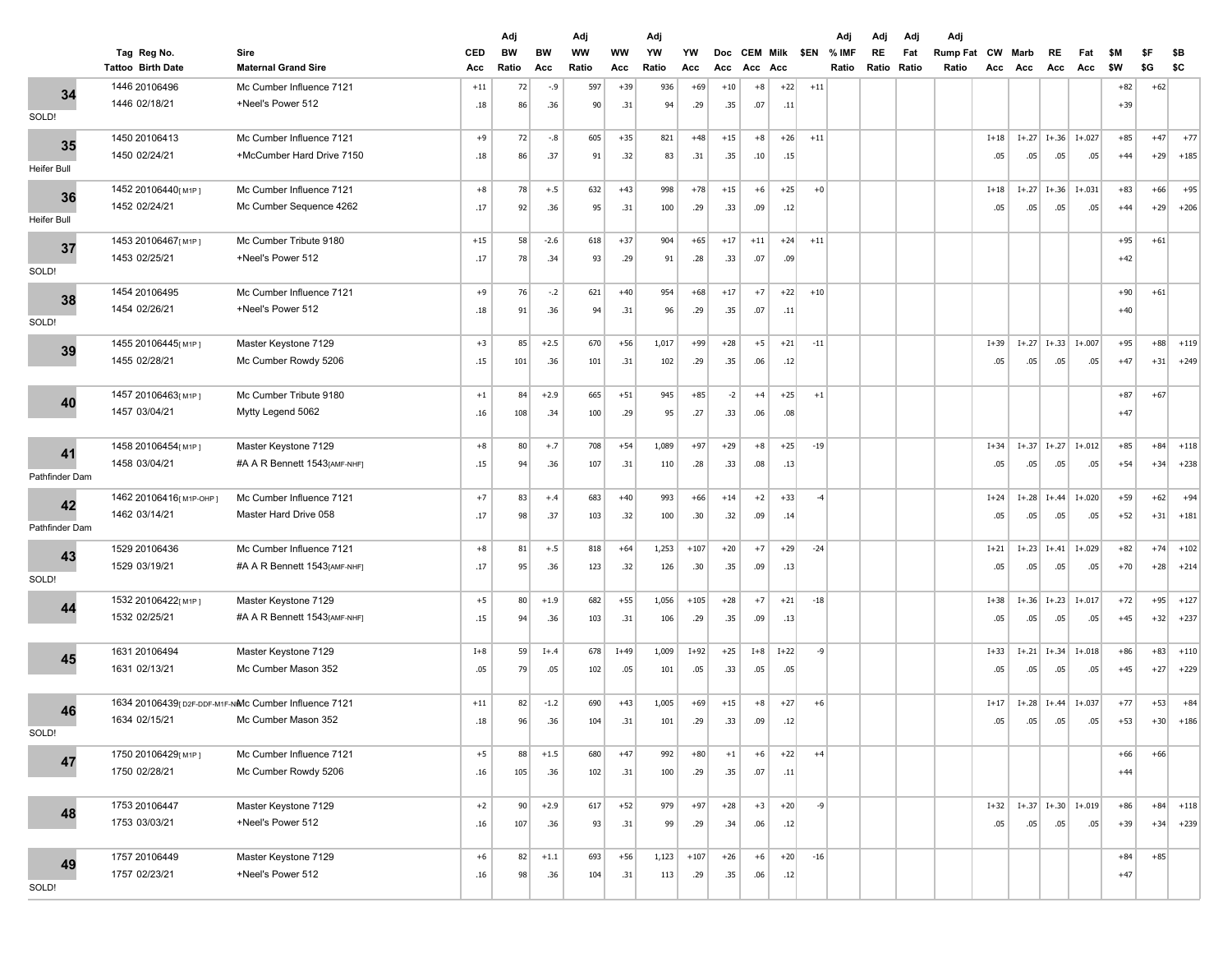|                | Tag Reg No.                                         | Sire                                        | CED         | Adj<br><b>BW</b> | BW     | Adj<br><b>WW</b> | ww     | Adj<br>YW | YW     | <b>Doc</b> | <b>CEM Milk</b> |        | \$EN  | Adj<br>% IMF | Adj<br>RE   | Adj<br>Fat | Adj<br>Rump Fat CW Marb |          |         | RE        | Fat                      | \$M   | \$F   | \$В    |
|----------------|-----------------------------------------------------|---------------------------------------------|-------------|------------------|--------|------------------|--------|-----------|--------|------------|-----------------|--------|-------|--------------|-------------|------------|-------------------------|----------|---------|-----------|--------------------------|-------|-------|--------|
|                | <b>Tattoo Birth Date</b>                            | <b>Maternal Grand Sire</b>                  | Acc         | Ratio            | Acc    | Ratio            | Acc    | Ratio     | Acc    | Acc        | Acc Acc         |        |       | Ratio        | Ratio Ratio |            | Ratio                   | Acc      | Acc     | Acc       | Acc                      | \$W   | \$G   | \$C    |
| 34             | 1446 20106496                                       | Mc Cumber Influence 7121                    | $+11$       | 72               | $-.9$  | 597              | $+39$  | 936       | $+69$  | $+10$      | $+8$            | $+22$  | $+11$ |              |             |            |                         |          |         |           |                          | $+82$ | $+62$ |        |
|                | 1446 02/18/21                                       | +Neel's Power 512                           | .18         | 86               | .36    | 90               | .31    | 94        | .29    | .35        | .07             | .11    |       |              |             |            |                         |          |         |           |                          | $+39$ |       |        |
| SOLD!          |                                                     |                                             |             |                  |        |                  |        |           |        |            |                 |        |       |              |             |            |                         |          |         |           |                          |       |       |        |
| 35             | 1450 20106413                                       | Mc Cumber Influence 7121                    | $+9$        | 72               | $-.8$  | 605              | $+35$  | 821       | $+48$  | $+15$      | $+8$            | $+26$  | $+11$ |              |             |            |                         | $I+18$   | $I+.27$ |           | $I+.36$ $I+.027$         | $+85$ | $+47$ | $+77$  |
| Heifer Bull    | 1450 02/24/21                                       | +McCumber Hard Drive 7150                   | .18         | 86               | .37    | 91               | .32    | 83        | .31    | .35        | .10             | .15    |       |              |             |            |                         | .05      | .05     | .05       | .05                      | $+44$ | $+29$ | $+185$ |
|                |                                                     |                                             |             |                  |        |                  |        |           |        |            |                 |        |       |              |             |            |                         |          |         |           |                          |       |       |        |
| 36             | 1452 20106440[M1P]                                  | Mc Cumber Influence 7121                    | $+8$        | 78               | $+.5$  | 632              | $+43$  | 998       | $+78$  | $+15$      | $+6$            | $+25$  | $+0$  |              |             |            |                         | $I+18$   | $I+.27$ | $I+.36$   | $I + .031$               | $+83$ | $+66$ | $+95$  |
| Heifer Bull    | 1452 02/24/21                                       | Mc Cumber Sequence 4262                     | .17         | 92               | .36    | 95               | .31    | 100       | .29    | .33        | .09             | .12    |       |              |             |            |                         | .05      | .05     | .05       | .05                      | $+44$ | $+29$ | $+206$ |
|                | 1453 20106467[M1P]                                  | Mc Cumber Tribute 9180                      | $+15$       | 58               | $-2.6$ | 618              | $+37$  | 904       | $+65$  | $+17$      | $+11$           | $+24$  | $+11$ |              |             |            |                         |          |         |           |                          | $+95$ | $+61$ |        |
| 37             | 1453 02/25/21                                       | +Neel's Power 512                           | .17         | 78               | .34    | 93               | .29    | 91        | .28    | .33        | .07             | .09    |       |              |             |            |                         |          |         |           |                          | $+42$ |       |        |
| SOLD!          |                                                     |                                             |             |                  |        |                  |        |           |        |            |                 |        |       |              |             |            |                         |          |         |           |                          |       |       |        |
| 38             | 1454 20106495                                       | Mc Cumber Influence 7121                    | $+9$        | 76               | $-2$   | 621              | $+40$  | 954       | $+68$  | $+17$      | $+7$            | $+22$  | $+10$ |              |             |            |                         |          |         |           |                          | $+90$ | $+61$ |        |
|                | 1454 02/26/21                                       | +Neel's Power 512                           | .18         | 91               | .36    | 94               | .31    | 96        | .29    | .35        | .07             | .11    |       |              |             |            |                         |          |         |           |                          | $+40$ |       |        |
| SOLD!          |                                                     |                                             |             |                  |        |                  |        |           |        |            |                 |        |       |              |             |            |                         |          |         |           |                          |       |       |        |
| 39             | 1455 20106445[M1P]                                  | Master Keystone 7129                        | $+3$        | 85               | $+2.5$ | 670              | $+56$  | 1,017     | $+99$  | $+28$      | $+5$            | $+21$  | $-11$ |              |             |            |                         | $I+39$   | $I+.27$ | $I+.33$   | $I + .007$               | $+95$ | $+88$ | $+119$ |
|                | 1455 02/28/21                                       | Mc Cumber Rowdy 5206                        | .15         | 101              | .36    | 101              | .31    | 102       | .29    | .35        | .06             | .12    |       |              |             |            |                         | .05      | .05     | .05       | .05                      | $+47$ | $+31$ | $+249$ |
|                |                                                     |                                             |             | 84               | $+2.9$ | 665              | $+51$  | 945       | $+85$  | $-2$       | $+4$            | $+25$  | $+1$  |              |             |            |                         |          |         |           |                          | $+87$ | $+67$ |        |
| 40             | 1457 20106463[M1P]<br>1457 03/04/21                 | Mc Cumber Tribute 9180<br>Mytty Legend 5062 | $+1$<br>.16 | 108              | .34    | 100              | .29    | 95        | .27    | .33        | .06             | .08    |       |              |             |            |                         |          |         |           |                          | $+47$ |       |        |
|                |                                                     |                                             |             |                  |        |                  |        |           |        |            |                 |        |       |              |             |            |                         |          |         |           |                          |       |       |        |
|                | 1458 20106454[M1P]                                  | Master Keystone 7129                        | $+8$        | 80               | $+.7$  | 708              | $+54$  | 1,089     | $+97$  | $+29$      | $+8$            | $+25$  | $-19$ |              |             |            |                         | $I + 34$ | $I+.37$ | $I+.27$   | $I + .012$               | $+85$ | $+84$ | $+118$ |
| 41             | 1458 03/04/21                                       | #A A R Bennett 1543[AMF-NHF]                | .15         | 94               | .36    | 107              | .31    | 110       | .28    | .33        | .08             | .13    |       |              |             |            |                         | .05      | .05     | .05       | .05                      | $+54$ | $+34$ | $+238$ |
| Pathfinder Dam |                                                     |                                             |             |                  |        |                  |        |           |        |            |                 |        |       |              |             |            |                         |          |         |           |                          |       |       |        |
| 42             | 1462 20106416 [М1Р-ОНР]                             | Mc Cumber Influence 7121                    | $+7$        | 83               | $+.4$  | 683              | $+40$  | 993       | $+66$  | $+14$      | $+2$            | $+33$  | $-4$  |              |             |            |                         | $I + 24$ | $I+.28$ | $I + .44$ | $I + .020$               | $+59$ | $+62$ | $+94$  |
|                | 1462 03/14/21                                       | Master Hard Drive 058                       | .17         | 98               | .37    | 103              | .32    | 100       | .30    | .32        | .09             | .14    |       |              |             |            |                         | .05      | .05     | .05       | .05                      | $+52$ | $+31$ | $+181$ |
| Pathfinder Dam |                                                     |                                             |             |                  |        |                  |        |           |        |            |                 |        |       |              |             |            |                         |          |         |           |                          |       |       |        |
| 43             | 1529 20106436                                       | Mc Cumber Influence 7121                    | $+8$        | 81               | $+.5$  | 818              | $+64$  | 1,253     | $+107$ | $+20$      | $+7$            | $+29$  | $-24$ |              |             |            |                         | $I+21$   | $I+.23$ | $I + .41$ | $I + .029$               | $+82$ | $+74$ | $+102$ |
| SOLD!          | 1529 03/19/21                                       | #A A R Bennett 1543[AMF-NHF]                | .17         | 95               | .36    | 123              | .32    | 126       | .30    | .35        | .09             | .13    |       |              |             |            |                         | .05      | .05     | .05       | .05                      | $+70$ | $+28$ | $+214$ |
|                | 1532 20106422[M1P]                                  | Master Keystone 7129                        | $+5$        | 80               | $+1.9$ | 682              | $+55$  | 1,056     | $+105$ | $+28$      | $+7$            | $+21$  | $-18$ |              |             |            |                         | $I+38$   | $I+.36$ | $I+.23$   | $I + .017$               | $+72$ | $+95$ | $+127$ |
| 44             | 1532 02/25/21                                       | #A A R Bennett 1543[AMF-NHF]                | .15         | 94               | .36    | 103              | .31    | 106       | .29    | .35        | .09             | .13    |       |              |             |            |                         | .05      | .05     | .05       | .05                      | $+45$ | $+32$ | $+237$ |
|                |                                                     |                                             |             |                  |        |                  |        |           |        |            |                 |        |       |              |             |            |                         |          |         |           |                          |       |       |        |
|                | 1631 20106494                                       | Master Keystone 7129                        | $I+8$       | 59               | $I+.4$ | 678              | $I+49$ | 1,009     | $I+92$ | $+25$      | $I+8$           | $I+22$ | -9    |              |             |            |                         | $I+33$   | $I+.21$ | $I+.34$   | $I + .018$               | $+86$ | $+83$ | $+110$ |
| 45             | 1631 02/13/21                                       | Mc Cumber Mason 352                         | .05         | 79               | .05    | 102              | .05    | 101       | .05    | .33        | .05             | .05    |       |              |             |            |                         | .05      | .05     | .05       | .05                      | $+45$ | $+27$ | $+229$ |
|                |                                                     |                                             |             |                  |        |                  |        |           |        |            |                 |        |       |              |             |            |                         |          |         |           |                          |       |       |        |
| 46             | 1634 20106439[D2F-DDF-M1F-NMC Cumber Influence 7121 |                                             | $+11$       | 82               | $-1.2$ | 690              | $+43$  | 1,005     | $+69$  | $+15$      | $+8$            | $+27$  | $+6$  |              |             |            |                         | $I+17$   | $I+.28$ | $I + .44$ | $I + .037$               | $+77$ | $+53$ | $+84$  |
|                | 1634 02/15/21                                       | Mc Cumber Mason 352                         | .18         | 96               | .36    | 104              | .31    | 101       | .29    | .33        | .09             | .12    |       |              |             |            |                         | .05      | .05     | .05       | .05                      | $+53$ | $+30$ | $+186$ |
| SOLD!          |                                                     |                                             |             |                  |        |                  |        |           |        |            |                 |        |       |              |             |            |                         |          |         |           |                          |       |       |        |
| 47             | 1750 20106429[M1P]                                  | Mc Cumber Influence 7121                    | $+5$        | 88               | $+1.5$ | 680              | $+47$  | 992       | $+80$  | $+1$       | $+6$            | $+22$  | $+4$  |              |             |            |                         |          |         |           |                          | $+66$ | $+66$ |        |
|                | 1750 02/28/21                                       | Mc Cumber Rowdy 5206                        | .16         | 105              | .36    | 102              | .31    | 100       | .29    | .35        | .07             | .11    |       |              |             |            |                         |          |         |           |                          | $+44$ |       |        |
|                | 1753 20106447                                       | Master Keystone 7129                        | $+2$        | 90               | $+2.9$ | 617              | $+52$  | 979       | $+97$  | $+28$      | $+3$            | $+20$  | $-9$  |              |             |            |                         | $I+32$   |         |           | $I+.37$ $I+.30$ $I+.019$ | $+86$ | $+84$ | $+118$ |
| 48             | 1753 03/03/21                                       | +Neel's Power 512                           | .16         | 107              | .36    | 93               | .31    | 99        | .29    | .34        | .06             | .12    |       |              |             |            |                         | .05      | .05     | .05       | .05                      | $+39$ | $+34$ | $+239$ |
|                |                                                     |                                             |             |                  |        |                  |        |           |        |            |                 |        |       |              |             |            |                         |          |         |           |                          |       |       |        |
| 49             | 1757 20106449                                       | Master Keystone 7129                        | $+6$        | 82               | $+1.1$ | 693              | $+56$  | 1,123     | $+107$ | $+26$      | $+6$            | $+20$  | $-16$ |              |             |            |                         |          |         |           |                          | $+84$ | $+85$ |        |
|                | 1757 02/23/21                                       | +Neel's Power 512                           | .16         | 98               | .36    | 104              | .31    | 113       | .29    | .35        | .06             | .12    |       |              |             |            |                         |          |         |           |                          | $+47$ |       |        |
| SOLD!          |                                                     |                                             |             |                  |        |                  |        |           |        |            |                 |        |       |              |             |            |                         |          |         |           |                          |       |       |        |